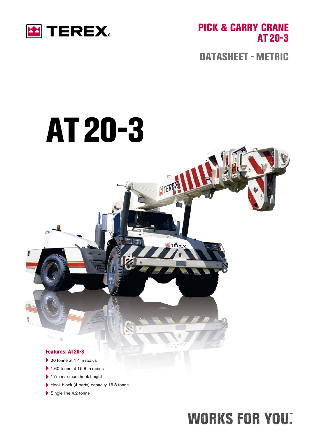

PICK & CARRY CRANE At 20-3

DATASHEET - METRIC

# At 20-3

FFREM

TEREX

#### Features: AT 20-3

m

- $\blacktriangleright$  20 tonne at 1.4 m radius
- $\blacktriangleright$  1.60 tonne at 15.8 m radius
- ▶ 17 m maximum hook height
- ▶ Hook block (4 parts) capacity 16.8 tonne
- $\blacktriangleright$  Single line 4.2 tonne

# **WORKS FOR YOU:**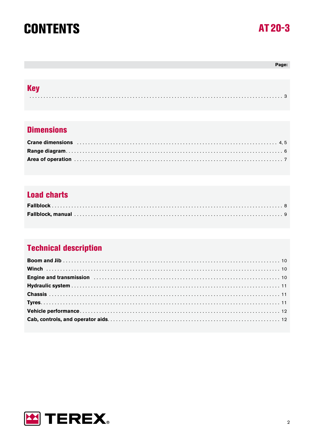### **CONTENTS**

### AT 20-3

#### Page:

| <b>KA</b> |  |
|-----------|--|
|           |  |

#### **Dimensions**

| Area of operation with the contract of the contract of the contract of the contract of the contract of the contract of the contract of the contract of the contract of the contract of the contract of the contract of the con |  |
|--------------------------------------------------------------------------------------------------------------------------------------------------------------------------------------------------------------------------------|--|

#### **Load charts**

#### **Technical description**

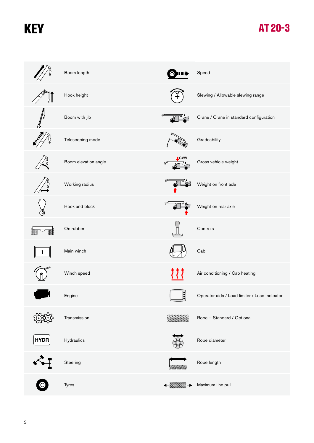# **KEY**

### At 20-3

|             | Boom length          |             | Speed                                         |
|-------------|----------------------|-------------|-----------------------------------------------|
| ହା          | Hook height          |             | Slewing / Allowable slewing range             |
| All Control | Boom with jib        | ڇ           | Crane / Crane in standard configuration       |
|             | Telescoping mode     |             | Gradeability                                  |
|             | Boom elevation angle | LGVW<br>ᡒ   | Gross vehicle weight                          |
|             | Working radius       | ᡒ           | Weight on front axle                          |
|             | Hook and block       | ᡖ           | Weight on rear axle                           |
|             | On rubber            |             | Controls                                      |
|             | Main winch           |             | Cab                                           |
|             | Winch speed          | くくく         | Air conditioning / Cab heating                |
|             | Engine               | 1:I<br>J3 J | Operator aids / Load limiter / Load indicator |
|             | Transmission         |             | Rope - Standard / Optional                    |
| <b>HYDR</b> | Hydraulics           |             | Rope diameter                                 |
|             | Steering             |             | Rope length                                   |
|             | Tyres                |             | Maximum line pull                             |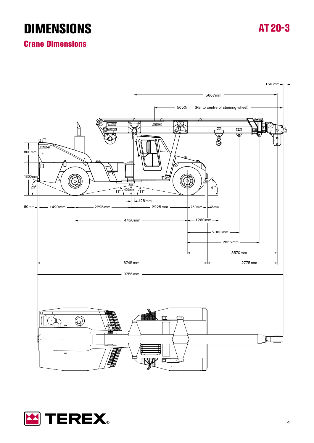### **DIMENSIONS**

At 20-3

#### Crane Dimensions



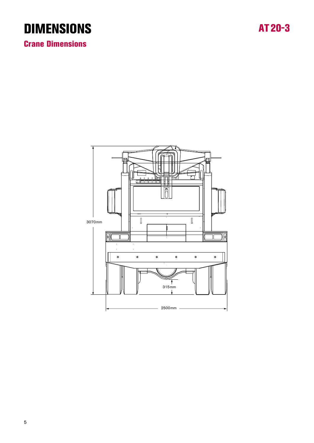### **DIMENSIONS**

Crane Dimensions

ua  $\overline{\mathbb{I}}$  $\overline{\mathbb{I}}$ 3070 mm 碿  $\ddot{\phantom{a}}$  $\bullet$  $\circledcirc$  $\bullet$  $\bullet$  $\bullet$  $\bullet$  $315mm$  $-2500$ mm -

### At 20-3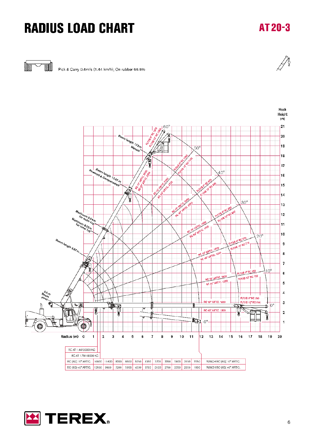# **RADIUS LOAD CHART**

### AT 20-3



Pick & Carry 0.4m/s (1.44 km/h); On rubber 66.6%



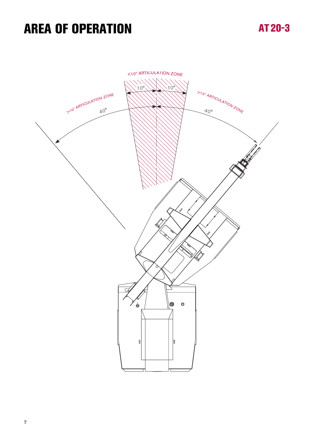### **AREA OF OPERATION**

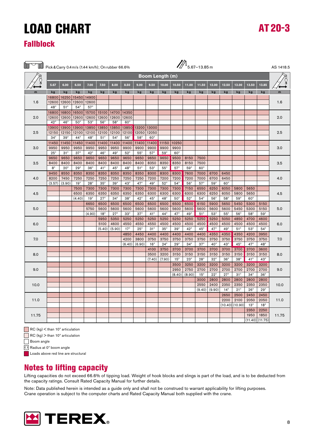# LOAD CHARt

#### Fallblock

| Pick & Carry 0.4m/s (1.44 km/h); On rubber 66.6% |              |              |                |                    |                      |                    |                    |                      |                        |              |                    | $\mathbb{Z}^3$ 5.67-13.85 m |                    |                      |                      |                    |                    |              | AS 1418.5 |
|--------------------------------------------------|--------------|--------------|----------------|--------------------|----------------------|--------------------|--------------------|----------------------|------------------------|--------------|--------------------|-----------------------------|--------------------|----------------------|----------------------|--------------------|--------------------|--------------|-----------|
|                                                  |              |              |                |                    |                      |                    |                    |                      | <b>Boom Length (m)</b> |              |                    |                             |                    |                      |                      |                    |                    |              |           |
|                                                  | 5.67         | 6.00         | 6.50           | 7.00               | 7.50                 | 8.00               | 8.50               | 9.00                 | 9.50                   | 10.00        | 10.50              | 11.00                       | 11.50              | 12.00                | 12.50                | 13.00              | 13.50              | 13,85        |           |
| m                                                | kg           | kg           | kg             | kg                 | kg                   | kg                 | kg                 | kg                   | kg                     | kg           | kg                 | kg                          | kg                 | kg                   | kg                   | kg                 | kg                 | kg           |           |
|                                                  | 16800        | 16250        | 15450          | 14900              |                      |                    |                    |                      |                        |              |                    |                             |                    |                      |                      |                    |                    |              |           |
| 1.6                                              | 12600        | 12600        | 12600          | 12600              |                      |                    |                    |                      |                        |              |                    |                             |                    |                      |                      |                    |                    |              | 1.6       |
|                                                  | $48^\circ$   | $51^\circ$   | $54^\circ$     | $57^\circ$         |                      |                    |                    |                      |                        |              |                    |                             |                    |                      |                      |                    |                    |              |           |
|                                                  | 16800        | 16800        | 16500          | 15700              | 15100                | 14700              | 14350              |                      |                        |              |                    |                             |                    |                      |                      |                    |                    |              |           |
| 2.0                                              | 12600        | 12600        | 12600          | 12600              | 12600                | 12600              | 12600              |                      |                        |              |                    |                             |                    |                      |                      |                    |                    |              | 2.0       |
|                                                  | $42^{\circ}$ | $46^{\circ}$ | $50^\circ$     | $53^\circ$         | $56^{\circ}$         | $58^\circ$         | $60^\circ$         |                      |                        |              |                    |                             |                    |                      |                      |                    |                    |              |           |
|                                                  |              | 13900 13900  | 13900          | 13850              | 13850                | 13850              | 13850              | 13200                | 13000                  |              |                    |                             |                    |                      |                      |                    |                    |              |           |
| 2.5                                              | 12150        | 12150        | 12100          | 12100              | 12100                | 12100              | 12100              | 12050                | 12050                  |              |                    |                             |                    |                      |                      |                    |                    |              | 2.5       |
|                                                  | $34^\circ$   | $39^\circ$   | $44^{\circ}$   | $48^\circ$         | $51^\circ$           | $54^\circ$         | $56^\circ$         | $58^\circ$           | $60^\circ$             |              |                    |                             |                    |                      |                      |                    |                    |              |           |
|                                                  | 11450        | 11450        | 11450          | 11400              | 11400                | 11400              | 11400              | 11400                | 11400                  | 11150        | 10250              |                             |                    |                      |                      |                    |                    |              |           |
| 3.0                                              | 9950         | 9950         | 9950           | 9950               | 9950                 | 9950               | 9900               | 9900                 | 9900                   | 9900         | 9900               |                             |                    |                      |                      |                    |                    |              | 3.0       |
|                                                  | $25^\circ$   | $31^\circ$   | $37^\circ$     | $42^{\circ}$       | $46^{\circ}$         | $49^\circ$         | $52^{\circ}$       | $55^{\circ}$         | $57^\circ$             | $59^\circ$   | $60^\circ$         |                             |                    |                      |                      |                    |                    |              |           |
|                                                  | 9650         | 9650         | 9650           | 9650               | 9650                 | 9650               | 9650               | 9650                 | 9650                   | 9650         | 9500               | 8150                        | 7500               |                      |                      |                    |                    |              |           |
| 3.5                                              | 8400         | 8400         | 8400           | 8400               | 8400                 | 8400               | 8400               | 8400                 | 8350                   | 8350         | 8350               | 8150                        | 7500               |                      |                      |                    |                    |              | 3.5       |
|                                                  | $8^{\circ}$  | $20^{\circ}$ | $29^\circ$     | $36^\circ$         | $41^{\circ}$         | $45^\circ$         | $48^\circ$         | $51^\circ$           | $53^\circ$             | $55^\circ$   | $57^\circ$         | $59^\circ$                  | $60^\circ$         |                      |                      |                    |                    |              |           |
|                                                  | 9450         | 8550         | 8350           | 8350               | 8350                 | 8350               | 8350               | 8350                 | 8300                   | 8300         | 8300               | 7600                        | 7000               | 6700                 | 6450                 |                    |                    |              |           |
| 4.0                                              | 8200         | 7450         | 7250           | 7250               | 7250                 | 7250               | 7250               | 7250                 | 7200                   | 7200         | 7200               | 7200                        | 7000               | 6700                 | 6450                 |                    |                    |              | 4.0       |
|                                                  | (3.57)       | (3.90)       | $19^{\circ}$   | $28^\circ$         | $35^\circ$           | $39^\circ$         | $43^\circ$         | $47^\circ$           | $49^\circ$             | $52^{\circ}$ | $54^\circ$         | $56^\circ$                  | $57^\circ$         | $59^\circ$           | $60^\circ$           |                    |                    |              |           |
| 4.5                                              |              |              | 7500           | 7300               | 7300                 | 7300               | 7300               | 7300                 | 7300                   | 7300<br>6300 | 7300               | 7150                        | 6550               | 6250                 | 6050                 | 5800               | 5650               |              |           |
|                                                  |              |              | 6500<br>(4.40) | 6350<br>$19^\circ$ | 6350<br>$27^\circ$   | 6350<br>$34^\circ$ | 6350<br>$38^\circ$ | 6350<br>$42^{\circ}$ | 6300<br>$45^{\circ}$   | $48^\circ$   | 6300<br>$50^\circ$ | 6300<br>$52^{\circ}$        | 6300<br>$54^\circ$ | 6250<br>$56^{\circ}$ | 6050<br>$58^\circ$   | 5800<br>$59^\circ$ | 5650<br>$60^\circ$ |              | 4.5       |
|                                                  |              |              |                |                    |                      |                    |                    |                      |                        |              |                    |                             |                    |                      |                      |                    |                    |              |           |
| 5.0                                              |              |              |                | 6650<br>5750       | 6500                 | 6500               | 6500               | 6500                 | 6500<br>5600           | 6500<br>5600 | 6500               | 6500                        | 6150               | 5900<br>5600         | 5650                 | 5450<br>5450       | 5300<br>5300       | 5150         | 5.0       |
|                                                  |              |              |                | (4.90)             | 5600<br>$18^{\circ}$ | 5600<br>$27^\circ$ | 5600<br>$33^\circ$ | 5600<br>$37^\circ$   | $41^{\circ}$           | $44^{\circ}$ | 5600<br>47°        | 5600<br>$49^\circ$          | 5600<br>$51^\circ$ | $53^\circ$           | 5600<br>$55^{\circ}$ | $56^{\circ}$       | $58^\circ$         | 5150<br>59°  |           |
|                                                  |              |              |                |                    | 5950                 | 5350               | 5250               | 5250                 | 5250                   | 5250         | 5250               | 5250                        | 5250               | 5250                 | 5050                 | 4850               | 4700               | 4600         |           |
| 6.0                                              |              |              |                |                    | 5100                 | 4600               | 4550               | 4550                 | 4550                   | 4500         | 4500               | 4500                        | 4500               | 4500                 | 4500                 | 4500               | 4500               | 4500         | 6.0       |
|                                                  |              |              |                |                    | (5.40)               | (5.90)             | $17^{\circ}$       | $25^{\circ}$         | $31^\circ$             | $35^\circ$   | $39^\circ$         | $42^{\circ}$                | $45^{\circ}$       | $47^{\circ}$         | $49^\circ$           | $51^\circ$         | $53^\circ$         | $54^\circ$   |           |
|                                                  |              |              |                |                    |                      |                    | 4850               | 4450                 | 4400                   | 4400         | 4400               | 4400                        | 4400               | 4350                 | 4350                 | 4350               | 4200               | 3950         |           |
| 7.0                                              |              |              |                |                    |                      |                    | 4200               | 3800                 | 3750                   | 3750         | 3750               | 3750                        | 3750               | 3750                 | 3750                 | 3750               | 3750               | 3750         | 7.0       |
|                                                  |              |              |                |                    |                      |                    | (6.40)             | (6.90)               | $16^{\circ}$           | $24^\circ$   | $29^\circ$         | $34^\circ$                  | $37^\circ$         | $40^{\circ}$         | $43^\circ$           | $45^{\circ}$       | 47°                | $48^\circ$   |           |
|                                                  |              |              |                |                    |                      |                    |                    |                      | 4100                   | 3750         | 3700               | 3700                        | 3700               | 3700                 | 3700                 | 3700               | 3700               | 3600         |           |
| 8.0                                              |              |              |                |                    |                      |                    |                    |                      | 3500                   | 3200         | 3150               | 3150                        | 3150               | 3150                 | 3150                 | 3150               | 3150               | 3150         | 8.0       |
|                                                  |              |              |                |                    |                      |                    |                    |                      | (7.40)                 | (7.90)       | $15^\circ$         | $23^\circ$                  | $28^\circ$         | $32^\circ$           | $36^\circ$           | $38^\circ$         | $41^{\circ}$       | $43^\circ$   |           |
|                                                  |              |              |                |                    |                      |                    |                    |                      |                        |              | 3500               | 3250                        | 3200               | 3200                 | 3200                 | 3200               | 3200               | 3200         |           |
| 9.0                                              |              |              |                |                    |                      |                    |                    |                      |                        |              | 2950               | 2750                        | 2700               | 2700                 | 2700                 | 2700               | 2700               | 2700         | 9.0       |
|                                                  |              |              |                |                    |                      |                    |                    |                      |                        |              | (8.40)             | (8.90)                      | $15^{\circ}$       | $22^{\circ}$         | $27^\circ$           | $31^\circ$         | $34^\circ$         | $36^\circ$   |           |
|                                                  |              |              |                |                    |                      |                    |                    |                      |                        |              |                    |                             | 3000               | 2800                 | 2800                 | 2800               | 2800               | 2800         |           |
| 10.0                                             |              |              |                |                    |                      |                    |                    |                      |                        |              |                    |                             | 2550               | 2400                 | 2350                 | 2350               | 2350               | 2350         | 10.0      |
|                                                  |              |              |                |                    |                      |                    |                    |                      |                        |              |                    |                             | (9.40)             | (9.90)               | $14^{\circ}$         | $21^{\circ}$       | $26^\circ$         | $29^\circ$   |           |
|                                                  |              |              |                |                    |                      |                    |                    |                      |                        |              |                    |                             |                    |                      | 2650                 | 2500               | 2450               | 2450         |           |
| 11.0                                             |              |              |                |                    |                      |                    |                    |                      |                        |              |                    |                             |                    |                      | 2200                 | 2100               | 2050               | 2050         | 11.0      |
|                                                  |              |              |                |                    |                      |                    |                    |                      |                        |              |                    |                             |                    |                      | (10.40)              | (10.90)            | $13^\circ$         | $18^{\circ}$ |           |
|                                                  |              |              |                |                    |                      |                    |                    |                      |                        |              |                    |                             |                    |                      |                      |                    | 2350               | 2250         |           |
| 11.75                                            |              |              |                |                    |                      |                    |                    |                      |                        |              |                    |                             |                    |                      |                      |                    | 1950               | 1850         | 11.75     |
|                                                  |              |              |                |                    |                      |                    |                    |                      |                        |              |                    |                             |                    |                      |                      |                    | (11.40)            | (11.75)      |           |

 $R$ C (kg)  $<$  than 10 $^{\circ}$  articulation

 $\Box$  RC (kg)  $>$  than 10 $^{\circ}$  articulation

Boom angle

( ) Radius at 0º boom angle

**Loads above red line are structural** 

#### Notes to lifting capacity

Lifting capacities do not exceed 66.6% of tipping load. Weight of hook blocks and slings is part of the load, and is to be deducted from the capacity ratings. Consult Rated Capacity Manual for further details.

Note: Data published herein is intended as a guide only and shall not be construed to warrant applicability for lifting purposes. Crane operation is subject to the computer charts and Rated Capacity Manual both supplied with the crane.



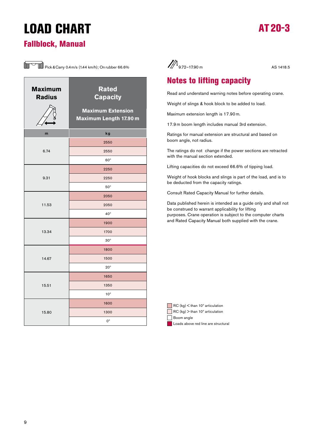# LOAD CHARt



#### Fallblock, Manual



| <b>Maximum</b><br><b>Radius</b> | <b>Rated</b><br><b>Capacity</b><br><b>Maximum Extension</b> |
|---------------------------------|-------------------------------------------------------------|
|                                 | Maximum Length 17.90 m                                      |
| m                               | kg                                                          |
|                                 | 2550                                                        |
| 6.74                            | 2550                                                        |
|                                 | $60^\circ$                                                  |
|                                 | 2250                                                        |
| 9.31                            | 2250                                                        |
|                                 | $50^\circ$                                                  |
|                                 | 2050                                                        |
| 11.53                           | 2050                                                        |
|                                 | $40^{\circ}$                                                |
|                                 | 1900                                                        |
| 13.34                           | 1700                                                        |
|                                 | $30^\circ$                                                  |
|                                 | 1800                                                        |
| 14.67                           | 1500                                                        |
|                                 | $20^{\circ}$                                                |
|                                 | 1650                                                        |
| 15.51                           | 1350                                                        |
|                                 | $10^{\circ}$                                                |
|                                 | 1600                                                        |
| 15.80                           | 1300                                                        |
|                                 | $0^{\circ}$                                                 |



#### Notes to lifting capacity

Read and understand warning notes before operating crane.

Weight of slings & hook block to be added to load.

Maximum extension length is 17.90 m.

17.9 m boom length includes manual 3rd extension.

Ratings for manual extension are structural and based on boom angle, not radius.

The ratings do not change if the power sections are retracted with the manual section extended.

Lifting capacities do not exceed 66.6% of tipping load.

Weight of hook blocks and slings is part of the load, and is to be deducted from the capacity ratings.

Consult Rated Capacity Manual for further details.

Data published herein is intended as a guide only and shall not be construed to warrant applicability for lifting purposes. Crane operation is subject to the computer charts and Rated Capacity Manual both supplied with the crane.

| RC (kg) < than 10° articulation |  |
|---------------------------------|--|
|---------------------------------|--|

 $R$ C (kg)  $>$  than 10 $^{\circ}$  articulation

Boom angle

Loads above red line are structural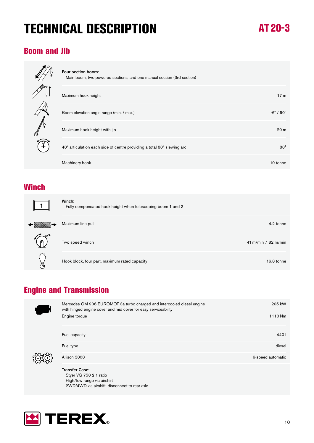# tECHNICAL DESCRIPtION

### At 20-3

#### Boom and Jib



| Four section boom:                                                     |                             |
|------------------------------------------------------------------------|-----------------------------|
| Main boom, two powered sections, and one manual section (3rd section)  |                             |
|                                                                        |                             |
| Maximum hook height                                                    | 17 <sub>m</sub>             |
|                                                                        |                             |
| Boom elevation angle range (min. / max.)                               | $-6^{\circ}$ / $60^{\circ}$ |
|                                                                        |                             |
| Maximum hook height with jib                                           | 20 <sub>m</sub>             |
|                                                                        |                             |
| 40° articulation each side of centre providing a total 80° slewing arc | $80^\circ$                  |
|                                                                        |                             |
| Machinery hook                                                         | 10 tonne                    |
|                                                                        |                             |

#### **Winch**

|   | Winch:<br>Fully compensated hook height when telescoping boom 1 and 2 |                       |
|---|-----------------------------------------------------------------------|-----------------------|
|   | Maximum line pull                                                     | 4.2 tonne             |
| A | Two speed winch                                                       | 41 m/min / $82$ m/min |
| ℬ | Hook block, four part, maximum rated capacity                         | 16.8 tonne            |

#### **Engine and Transmission**



| Mercedes OM 906 EUROMOT 3a turbo charged and intercooled diesel engine<br>with hinged engine cover and mid cover for easy serviceability | 205 kW            |
|------------------------------------------------------------------------------------------------------------------------------------------|-------------------|
| Engine torque                                                                                                                            | 1110 Nm           |
| Fuel capacity                                                                                                                            | 4401              |
| Fuel type                                                                                                                                | diesel            |
| Allison 3000                                                                                                                             | 6-speed automatic |
| <b>Transfer Case:</b><br>Styer VG 750 2:1 ratio                                                                                          |                   |

 High/low range via airshirt 2WD/4WD via airshift, disconnect to rear axle

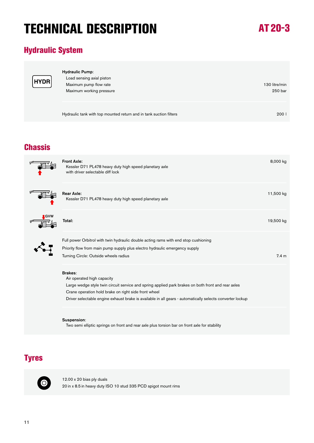# tECHNICAL DESCRIPtION

### At 20-3

#### Hydraulic System

| ۲  |
|----|
| Ĺ. |

| <b>Hydraulic Pump:</b><br>Load sensing axial piston                |                  |
|--------------------------------------------------------------------|------------------|
| Maximum pump flow rate                                             | 130 litre/min    |
| Maximum working pressure                                           | 250 bar          |
|                                                                    |                  |
| Hydraulic tank with top mounted return and in tank suction filters | 200 <sub>1</sub> |

#### **Chassis**



| <b>Front Axle:</b><br>Kessler D71 PL478 heavy duty high speed planetary axle<br>with driver selectable diff lock | 8,000 kg         |
|------------------------------------------------------------------------------------------------------------------|------------------|
| <b>Rear Axle:</b><br>Kessler D71 PL478 heavy duty high speed planetary axle                                      | 11,500 kg        |
| Total:                                                                                                           | 19,500 kg        |
| Full power Orbitrol with twin hydraulic double acting rams with end stop cushioning                              |                  |
| Priority flow from main pump supply plus electro hydraulic emergency supply                                      |                  |
| Turning Circle: Outside wheels radius                                                                            | 7.4 <sub>m</sub> |
| <b>Brakes:</b><br>Air operated high capacity                                                                     |                  |
| Large wedge style twin circuit service and spring applied park brakes on both front and rear axles               |                  |
| Crane operation hold brake on right side front wheel                                                             |                  |
| Driver selectable engine exhaust brake is available in all gears - automatically selects converter lockup        |                  |
| Suspension:<br>Two semi elliptic springs on front and rear axle plus torsion bar on front axle for stability     |                  |

#### **Tyres**



12.00 x 20 bias ply duals 20 in x 8.5 in heavy duty ISO 10 stud 335 PCD spigot mount rims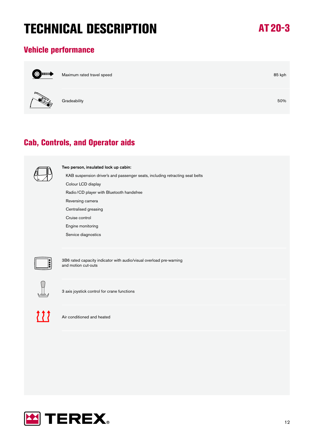# tECHNICAL DESCRIPtION

### At 20-3

#### Vehicle performance



Maximum rated travel speed 85 kph



 $\bf G$ radeability  $50\%$ 

#### Cab, Controls, and Operator aids



Two person, insulated lock up cabin:

KAB suspension driver's and passenger seats, including retracting seat belts

 Colour LCD display Radio/CD player with Bluetooth handsfree

Reversing camera

Centralised greasing

Cruise control

Engine monitoring

Service diagnostics



3B6 rated capacity indicator with audio/visual overload pre-warning and motion cut-outs



3 axis joystick control for crane functions



Air conditioned and heated

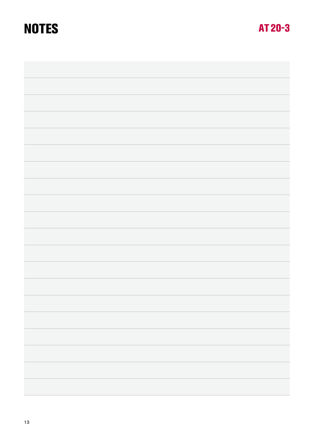### **NOTES**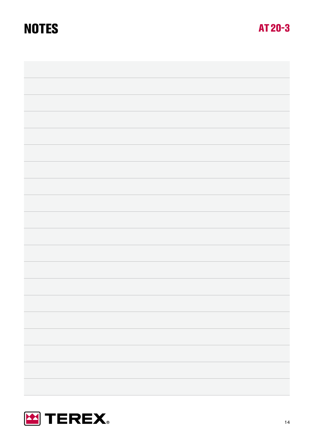### **NOTES**



AT 20-3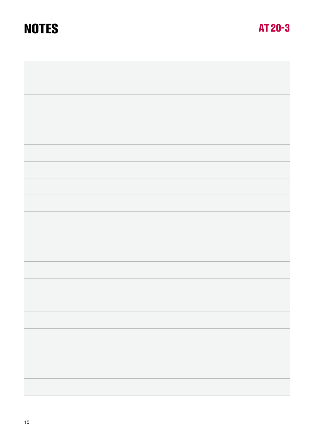### **NOTES**

AT 20-3